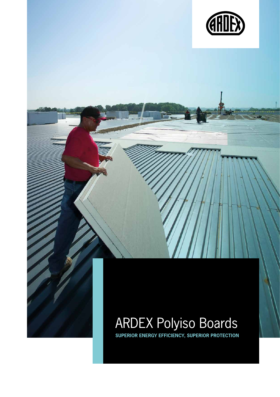

# ARDEX Polyiso Boards

**Superior energy efficiency, superior protection**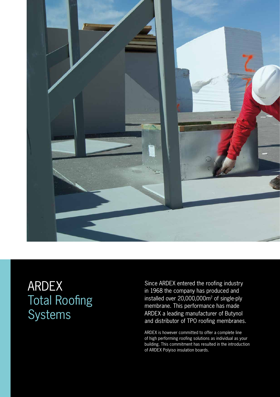

## ARDEX Total Roofing Systems

Since ARDEX entered the roofing industry in 1968 the company has produced and installed over 20,000,000m 2 of single-ply membrane. This performance has made ARDEX a leading manufacturer of Butynol and distributor of TPO roofing membranes.

ARDEX is however committed to offer a complete line of high performing roofing solutions as individual as your building. This commitment has resulted in the introduction of ARDEX Polyiso insulation boards.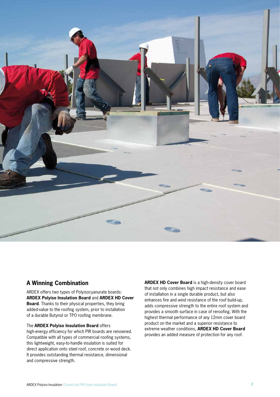

## **A Winning Combination**

ARDEX offers two types of Polyisocyanurate boards: **ARDEX Polyiso Insulation Board** and **ARDEX HD Cover Board**. Thanks to their physical properties, they bring added-value to the roofing system, prior to installation of a durable Butynol or TPO roofing membrane.

#### The **ARDEX Polyiso Insulation Board** offers

high-energy efficiency for which PIR boards are renowned. Compatible with all types of commercial roofing systems, this lightweight, easy-to-handle insulation is suited for direct application onto steel roof, concrete or wood deck. It provides outstanding thermal resistance, dimensional and compressive strength.

**ARDEX HD Cover Board** is a high-density cover board that not only combines high impact resistance and ease of installation in a single durable product, but also enhances fire and wind resistance of the roof build-up, adds compressive strength to the entire roof system and provides a smooth surface in case of reroofing. With the highest thermal performance of any 12mm cover board product on the market and a superior resistance to extreme weather conditions, **ARDEX HD Cover Board** provides an added measure of protection for any roof.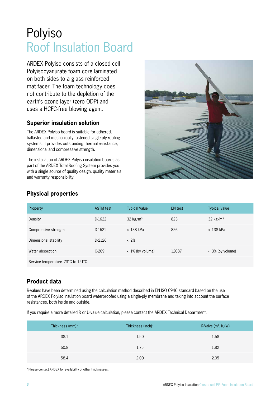## Polyiso Roof Insulation Board

ARDEX Polyiso consists of a closed-cell Polyisocyanurate foam core laminated on both sides to a glass reinforced mat facer. The foam technology does not contribute to the depletion of the earth's ozone layer (zero ODP) and uses a HCFC-free blowing agent.

### **Superior insulation solution**

The ARDEX Polyiso board is suitable for adhered, ballasted and mechanically fastened single-ply roofing systems. It provides outstanding thermal resistance, dimensional and compressive strength.

The installation of ARDEX Polyiso insulation boards as part of the ARDEX Total Roofing System provides you with a single source of quality design, quality materials and warranty responsibility.



## **Physical properties**

| Property                           | <b>ASTM</b> test | <b>Typical Value</b> | <b>EN</b> test | <b>Typical Value</b> |
|------------------------------------|------------------|----------------------|----------------|----------------------|
| Density                            | D-1622           | $32 \text{ kg/m}^3$  | 823            | $32 \text{ kg/m}^3$  |
| Compressive strength               | D-1621           | $>138$ kPa           | 826            | $>138$ kPa           |
| Dimensional stability              | D-2126           | $< 2\%$              |                |                      |
| Water absorption                   | $C-209$          | $< 1\%$ (by volume)  | 12087          | $<$ 3% (by volume)   |
| Service temperature -73°C to 121°C |                  |                      |                |                      |

### **Product data**

R-values have been determined using the calculation method described in EN ISO 6946 standard based on the use of the ARDEX Polyiso insulation board waterproofed using a single-ply membrane and taking into account the surface resistances, both inside and outside.

If you require a more detailed R or U-value calculation, please contact the ARDEX Technical Department.

| Thickness (mm)* | Thickness (inch)* | R-Valve ( $m^2$ . K/W) |
|-----------------|-------------------|------------------------|
| 38.1            | 1.50              | 1.58                   |
| 50.8            | 1.75              | 1.82                   |
| 58.4            | 2.00              | 2.05                   |

\*Please contact ARDEX for availability of other thicknesses.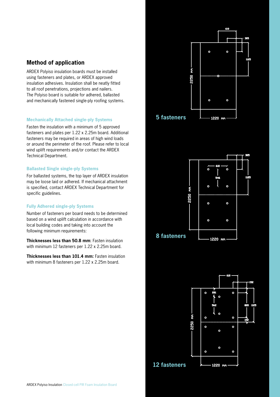#### **Method of application**

ARDEX Polyiso insulation boards must be installed using fasteners and plates, or ARDEX approved insulation adhesives. Insulation shall be neatly fitted to all roof penetrations, projections and nailers. The Polyiso board is suitable for adhered, ballasted and mechanically fastened single-ply roofing systems.

#### **Mechanically Attached single-ply Systems**

Fasten the insulation with a minimum of 5 approved fasteners and plates per 1.22 x 2.25m board. Additional fasteners may be required in areas of high wind loads or around the perimeter of the roof. Please refer to local wind uplift requirements and/or contact the ARDEX Technical Department.

#### **Ballasted Single single-ply Systems**

For ballasted systems, the top layer of ARDEX insulation may be loose laid or adhered. If mechanical attachment is specified, contact ARDEX Technical Department for specific guidelines.

#### **Fully Adhered single-ply Systems**

Number of fasteners per board needs to be determined based on a wind uplift calculation in accordance with local building codes and taking into account the following minimum requirements:

**Thicknesses less than 50.8 mm**: Fasten insulation with minimum 12 fasteners per 1.22 x 2.25m board.

**Thicknesses less than 101.4 mm:** Fasten insulation with minimum 8 fasteners per 1.22 x 2.25m board.





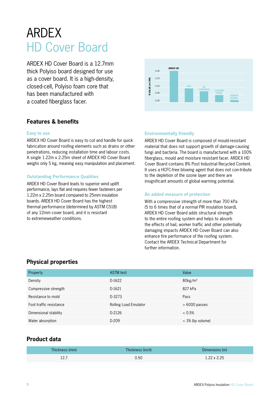## ARDEX HD Cover Board

ARDEX HD Cover Board is a 12.7mm thick Polyiso board designed for use as a cover board. It is a high-density, closed-cell, Polyiso foam core that has been manufactured with a coated fiberglass facer.



### **Features & benefits**

#### **Easy to use**

ARDEX HD Cover Board is easy to cut and handle for quick fabrication around roofing elements such as drains or other penetrations, reducing installation time and labour costs. A single 1.22m x 2.25m sheet of ARDEX HD Cover Board weighs only 5 kg, meaning easy manipulation and placement.

#### **Outstanding Performance Qualities**

ARDEX HD Cover Board leads to superior wind uplift performance, lays flat and requires fewer fasteners per 1.22m x 2.25m board compared to 25mm insulation boards. ARDEX HD Cover Board has the highest thermal performance (determined by ASTM C518) of any 12mm cover board, and it is resistant to extremeweather conditions.

#### **Environmentally friendly**

ARDEX HD Cover Board is composed of mould-resistant material that does not support growth of damage-causing fungi and bacteria. The board is manufactured with a 100% fiberglass, mould and moisture resistant facer. ARDEX HD Cover Board contains 8% Post Industrial Recycled Content. It uses a HCFC-free blowing agent that does not con-tribute to the depletion of the ozone layer and there are insignificant amounts of global warming potential.

#### **An added measure of protection**

With a compressive strength of more than 700 kPa (5 to 6 times that of a normal PIR insulation board), ARDEX HD Cover Board adds structural strength to the entire roofing system and helps to absorb the effects of hail, worker traffic and other potentially damaging impacts ARDEX HD Cover Board can also enhance fire performance of the roofing system. Contact the ARDEX Technical Department for further information.

#### **Physical properties**

| Property                | <b>ASTM</b> test             | Value                  |
|-------------------------|------------------------------|------------------------|
| Density                 | D-1622                       | $80$ kg/m <sup>3</sup> |
| Compressive strength    | D-1621                       | 827 kPa                |
| Resistance to mold      | D-3273                       | Pass                   |
| Foot traffic resistance | <b>Rolling Load Emulator</b> | $>6000$ passes         |
| Dimensional stability   | D-2126                       | $< 0.5\%$              |
| Water absorption        | D-209                        | $<$ 3% (by volume)     |

#### **Product data**

| Thickness (mm) | Thickness (inch) | Dimensions (m)     |
|----------------|------------------|--------------------|
| 12.7           | 0.50             | $1.22 \times 2.25$ |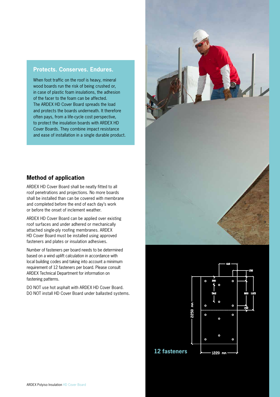#### **Protects. Conserves. Endures.**

When foot traffic on the roof is heavy, mineral wood boards run the risk of being crushed or, in case of plastic foam insulations, the adhesion of the facer to the foam can be affected. The ARDEX HD Cover Board spreads the load and protects the boards underneath. It therefore often pays, from a life-cycle cost perspective, to protect the insulation boards with ARDEX HD Cover Boards. They combine impact resistance and ease of installation in a single durable product.



ARDEX HD Cover Board shall be neatly fitted to all roof penetrations and projections. No more boards shall be installed than can be covered with membrane and completed before the end of each day's work or before the onset of inclement weather.

ARDEX HD Cover Board can be applied over existing roof surfaces and under adhered or mechanically attached single-ply roofing membranes. ARDEX HD Cover Board must be installed using approved fasteners and plates or insulation adhesives.

Number of fasteners per board needs to be determined based on a wind uplift calculation in accordance with local building codes and taking into account a minimum requirement of 12 fasteners per board. Please consult ARDEX Technical Department for information on fastening patterns.

DO NOT use hot asphalt with ARDEX HD Cover Board. DO NOT install HD Cover Board under ballasted systems.